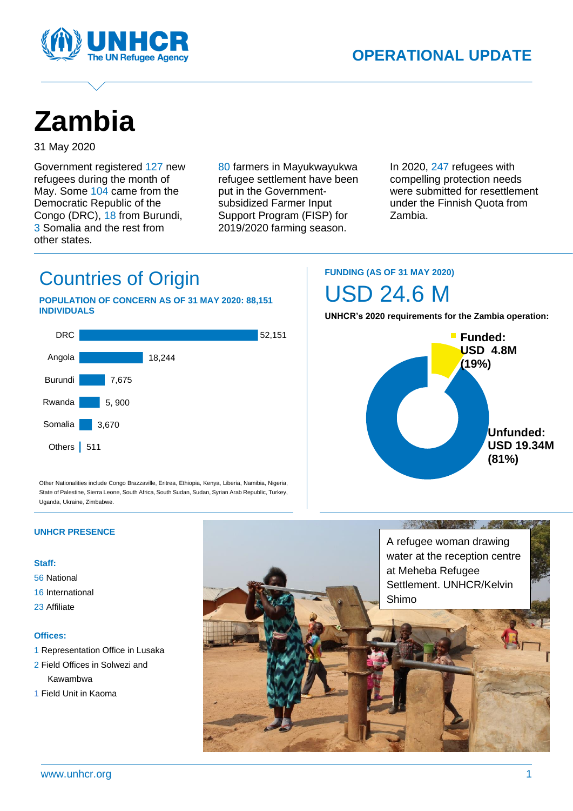



# **Zambia**

31 May 2020

Government registered 127 new refugees during the month of May. Some 104 came from the Democratic Republic of the Congo (DRC), 18 from Burundi, 3 Somalia and the rest from other states.

80 farmers in Mayukwayukwa refugee settlement have been put in the Governmentsubsidized Farmer Input Support Program (FISP) for 2019/2020 farming season.

In 2020, 247 refugees with compelling protection needs were submitted for resettlement under the Finnish Quota from Zambia.

### Countries of Origin

#### **POPULATION OF CONCERN AS OF 31 MAY 2020: 88,151 INDIVIDUALS**



Other Nationalities include Congo Brazzaville, Eritrea, Ethiopia, Kenya, Liberia, Namibia, Nigeria, State of Palestine, Sierra Leone, South Africa, South Sudan, Sudan, Syrian Arab Republic, Turkey, Uganda, Ukraine, Zimbabwe.

### **FUNDING (AS OF 31 MAY 2020)**

## USD 24.6 M

**UNHCR's 2020 requirements for the Zambia operation:**



#### **UNHCR PRESENCE**

#### **Staff:**

- 56 National
- 16 International
- 23 Affiliate

#### **Offices:**

- 1 Representation Office in Lusaka
- 2 Field Offices in Solwezi and Kawambwa
- 1 Field Unit in Kaoma

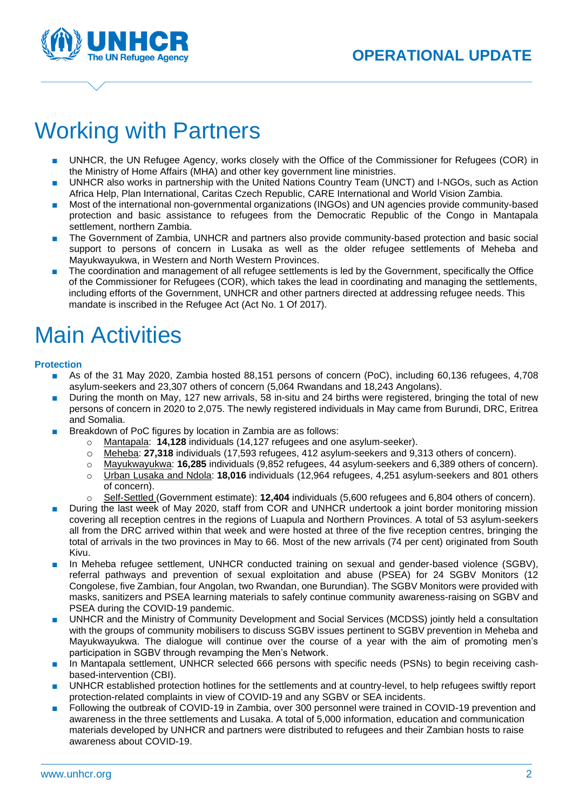

## Working with Partners

- UNHCR, the UN Refugee Agency, works closely with the Office of the Commissioner for Refugees (COR) in the Ministry of Home Affairs (MHA) and other key government line ministries.
- UNHCR also works in partnership with the United Nations Country Team (UNCT) and I-NGOs, such as Action Africa Help, Plan International, Caritas Czech Republic, CARE International and World Vision Zambia.
- Most of the international non-governmental organizations (INGOs) and UN agencies provide community-based protection and basic assistance to refugees from the Democratic Republic of the Congo in Mantapala settlement, northern Zambia.
- The Government of Zambia, UNHCR and partners also provide community-based protection and basic social support to persons of concern in Lusaka as well as the older refugee settlements of Meheba and Mayukwayukwa, in Western and North Western Provinces.
- The coordination and management of all refugee settlements is led by the Government, specifically the Office of the Commissioner for Refugees (COR), which takes the lead in coordinating and managing the settlements, including efforts of the Government, UNHCR and other partners directed at addressing refugee needs. This mandate is inscribed in the Refugee Act (Act No. 1 Of 2017).

# Main Activities

#### **Protection**

- As of the 31 May 2020, Zambia hosted 88,151 persons of concern (PoC), including 60,136 refugees, 4,708 asylum-seekers and 23,307 others of concern (5,064 Rwandans and 18,243 Angolans).
- During the month on May, 127 new arrivals, 58 in-situ and 24 births were registered, bringing the total of new persons of concern in 2020 to 2,075. The newly registered individuals in May came from Burundi, DRC, Eritrea and Somalia.
- Breakdown of PoC figures by location in Zambia are as follows:
	- o Mantapala: **14,128** individuals (14,127 refugees and one asylum-seeker).
	- o Meheba: **27,318** individuals (17,593 refugees, 412 asylum-seekers and 9,313 others of concern).
	- o Mayukwayukwa: **16,285** individuals (9,852 refugees, 44 asylum-seekers and 6,389 others of concern).
	- o Urban Lusaka and Ndola: **18,016** individuals (12,964 refugees, 4,251 asylum-seekers and 801 others of concern).
	- o Self-Settled (Government estimate): **12,404** individuals (5,600 refugees and 6,804 others of concern).
- During the last week of May 2020, staff from COR and UNHCR undertook a joint border monitoring mission covering all reception centres in the regions of Luapula and Northern Provinces. A total of 53 asylum-seekers all from the DRC arrived within that week and were hosted at three of the five reception centres, bringing the total of arrivals in the two provinces in May to 66. Most of the new arrivals (74 per cent) originated from South Kivu.
- In Meheba refugee settlement, UNHCR conducted training on sexual and gender-based violence (SGBV), referral pathways and prevention of sexual exploitation and abuse (PSEA) for 24 SGBV Monitors (12 Congolese, five Zambian, four Angolan, two Rwandan, one Burundian). The SGBV Monitors were provided with masks, sanitizers and PSEA learning materials to safely continue community awareness-raising on SGBV and PSEA during the COVID-19 pandemic.
- UNHCR and the Ministry of Community Development and Social Services (MCDSS) jointly held a consultation with the groups of community mobilisers to discuss SGBV issues pertinent to SGBV prevention in Meheba and Mayukwayukwa. The dialogue will continue over the course of a year with the aim of promoting men's participation in SGBV through revamping the Men's Network.
- In Mantapala settlement, UNHCR selected 666 persons with specific needs (PSNs) to begin receiving cashbased-intervention (CBI).
- UNHCR established protection hotlines for the settlements and at country-level, to help refugees swiftly report protection-related complaints in view of COVID-19 and any SGBV or SEA incidents.
- Following the outbreak of COVID-19 in Zambia, over 300 personnel were trained in COVID-19 prevention and awareness in the three settlements and Lusaka. A total of 5,000 information, education and communication materials developed by UNHCR and partners were distributed to refugees and their Zambian hosts to raise awareness about COVID-19.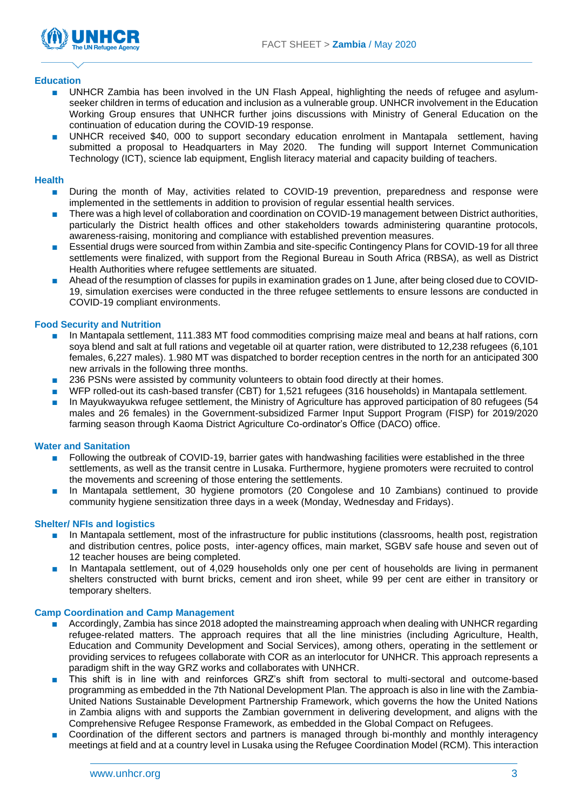

#### **Education**

- UNHCR Zambia has been involved in the UN Flash Appeal, highlighting the needs of refugee and asylumseeker children in terms of education and inclusion as a vulnerable group. UNHCR involvement in the Education Working Group ensures that UNHCR further joins discussions with Ministry of General Education on the continuation of education during the COVID-19 response.
- UNHCR received \$40, 000 to support secondary education enrolment in Mantapala settlement, having submitted a proposal to Headquarters in May 2020. The funding will support Internet Communication Technology (ICT), science lab equipment, English literacy material and capacity building of teachers.

#### **Health**

- During the month of May, activities related to COVID-19 prevention, preparedness and response were implemented in the settlements in addition to provision of regular essential health services.
- There was a high level of collaboration and coordination on COVID-19 management between District authorities, particularly the District health offices and other stakeholders towards administering quarantine protocols, awareness-raising, monitoring and compliance with established prevention measures.
- Essential drugs were sourced from within Zambia and site-specific Contingency Plans for COVID-19 for all three settlements were finalized, with support from the Regional Bureau in South Africa (RBSA), as well as District Health Authorities where refugee settlements are situated.
- Ahead of the resumption of classes for pupils in examination grades on 1 June, after being closed due to COVID-19, simulation exercises were conducted in the three refugee settlements to ensure lessons are conducted in COVID-19 compliant environments.

#### **Food Security and Nutrition**

- In Mantapala settlement, 111.383 MT food commodities comprising maize meal and beans at half rations, corn soya blend and salt at full rations and vegetable oil at quarter ration, were distributed to 12,238 refugees (6,101 females, 6,227 males). 1.980 MT was dispatched to border reception centres in the north for an anticipated 300 new arrivals in the following three months.
- 236 PSNs were assisted by community volunteers to obtain food directly at their homes.
- WFP rolled-out its cash-based transfer (CBT) for 1,521 refugees (316 households) in Mantapala settlement.
- In Mayukwayukwa refugee settlement, the Ministry of Agriculture has approved participation of 80 refugees (54 males and 26 females) in the Government-subsidized Farmer Input Support Program (FISP) for 2019/2020 farming season through Kaoma District Agriculture Co-ordinator's Office (DACO) office.

#### **Water and Sanitation**

- Following the outbreak of COVID-19, barrier gates with handwashing facilities were established in the three settlements, as well as the transit centre in Lusaka. Furthermore, hygiene promoters were recruited to control the movements and screening of those entering the settlements.
- In Mantapala settlement, 30 hygiene promotors (20 Congolese and 10 Zambians) continued to provide community hygiene sensitization three days in a week (Monday, Wednesday and Fridays).

#### **Shelter/ NFIs and logistics**

- In Mantapala settlement, most of the infrastructure for public institutions (classrooms, health post, registration and distribution centres, police posts, inter-agency offices, main market, SGBV safe house and seven out of 12 teacher houses are being completed.
- In Mantapala settlement, out of 4,029 households only one per cent of households are living in permanent shelters constructed with burnt bricks, cement and iron sheet, while 99 per cent are either in transitory or temporary shelters.

#### **Camp Coordination and Camp Management**

- Accordingly, Zambia has since 2018 adopted the mainstreaming approach when dealing with UNHCR regarding refugee-related matters. The approach requires that all the line ministries (including Agriculture, Health, Education and Community Development and Social Services), among others, operating in the settlement or providing services to refugees collaborate with COR as an interlocutor for UNHCR. This approach represents a paradigm shift in the way GRZ works and collaborates with UNHCR.
- This shift is in line with and reinforces GRZ's shift from sectoral to multi-sectoral and outcome-based programming as embedded in the 7th National Development Plan. The approach is also in line with the Zambia-United Nations Sustainable Development Partnership Framework, which governs the how the United Nations in Zambia aligns with and supports the Zambian government in delivering development, and aligns with the Comprehensive Refugee Response Framework, as embedded in the Global Compact on Refugees.
- Coordination of the different sectors and partners is managed through bi-monthly and monthly interagency meetings at field and at a country level in Lusaka using the Refugee Coordination Model (RCM). This interaction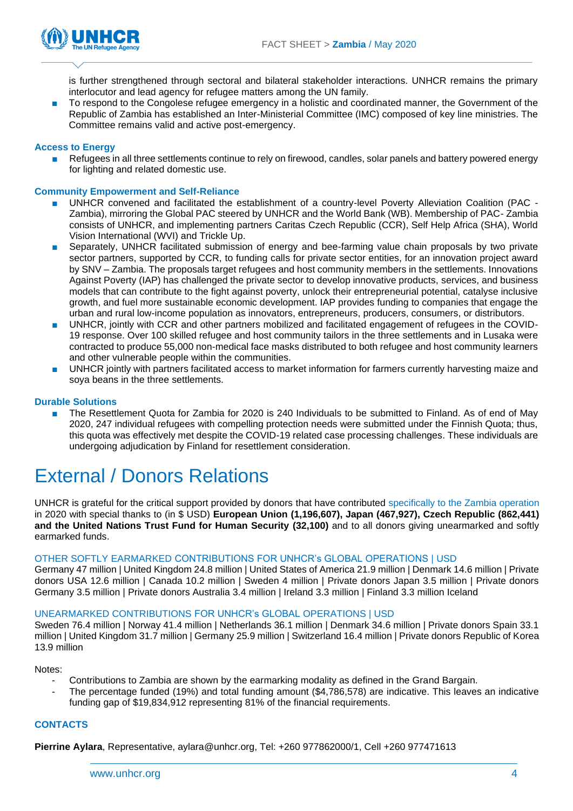

is further strengthened through sectoral and bilateral stakeholder interactions. UNHCR remains the primary interlocutor and lead agency for refugee matters among the UN family.

To respond to the Congolese refugee emergency in a holistic and coordinated manner, the Government of the Republic of Zambia has established an Inter-Ministerial Committee (IMC) composed of key line ministries. The Committee remains valid and active post-emergency.

#### **Access to Energy**

Refugees in all three settlements continue to rely on firewood, candles, solar panels and battery powered energy for lighting and related domestic use.

#### **Community Empowerment and Self-Reliance**

- UNHCR convened and facilitated the establishment of a country-level Poverty Alleviation Coalition (PAC -Zambia), mirroring the Global PAC steered by UNHCR and the World Bank (WB). Membership of PAC- Zambia consists of UNHCR, and implementing partners Caritas Czech Republic (CCR), Self Help Africa (SHA), World Vision International (WVI) and Trickle Up.
- Separately, UNHCR facilitated submission of energy and bee-farming value chain proposals by two private sector partners, supported by CCR, to funding calls for private sector entities, for an innovation project award by SNV – Zambia. The proposals target refugees and host community members in the settlements. Innovations Against Poverty (IAP) has challenged the private sector to develop innovative products, services, and business models that can contribute to the fight against poverty, unlock their entrepreneurial potential, catalyse inclusive growth, and fuel more sustainable economic development. IAP provides funding to companies that engage the urban and rural low-income population as innovators, entrepreneurs, producers, consumers, or distributors.
- UNHCR, jointly with CCR and other partners mobilized and facilitated engagement of refugees in the COVID-19 response. Over 100 skilled refugee and host community tailors in the three settlements and in Lusaka were contracted to produce 55,000 non-medical face masks distributed to both refugee and host community learners and other vulnerable people within the communities.
- UNHCR jointly with partners facilitated access to market information for farmers currently harvesting maize and soya beans in the three settlements.

#### **Durable Solutions**

The Resettlement Quota for Zambia for 2020 is 240 Individuals to be submitted to Finland. As of end of May 2020, 247 individual refugees with compelling protection needs were submitted under the Finnish Quota; thus, this quota was effectively met despite the COVID-19 related case processing challenges. These individuals are undergoing adjudication by Finland for resettlement consideration.

### External / Donors Relations

UNHCR is grateful for the critical support provided by donors that have contributed specifically to the Zambia operation in 2020 with special thanks to (in \$ USD) **European Union (1,196,607), Japan (467,927), Czech Republic (862,441) and the United Nations Trust Fund for Human Security (32,100)** and to all donors giving unearmarked and softly earmarked funds.

#### OTHER SOFTLY EARMARKED CONTRIBUTIONS FOR UNHCR's GLOBAL OPERATIONS | USD

Germany 47 million | United Kingdom 24.8 million | United States of America 21.9 million | Denmark 14.6 million | Private donors USA 12.6 million | Canada 10.2 million | Sweden 4 million | Private donors Japan 3.5 million | Private donors Germany 3.5 million | Private donors Australia 3.4 million | Ireland 3.3 million | Finland 3.3 million Iceland

#### UNEARMARKED CONTRIBUTIONS FOR UNHCR's GLOBAL OPERATIONS | USD

Sweden 76.4 million | Norway 41.4 million | Netherlands 36.1 million | Denmark 34.6 million | Private donors Spain 33.1 million | United Kingdom 31.7 million | Germany 25.9 million | Switzerland 16.4 million | Private donors Republic of Korea 13.9 million

Notes:

- Contributions to Zambia are shown by the earmarking modality as defined in the Grand Bargain.
- The percentage funded (19%) and total funding amount (\$4,786,578) are indicative. This leaves an indicative funding gap of \$19,834,912 representing 81% of the financial requirements.

#### **CONTACTS**

**Pierrine Aylara**, Representative, aylar[a@unhcr.org,](file://///psf/TRAVAUX/8715%20-%20UNHCR%20WORD%20V2013/BUREAUTIQUE/annexe/name@unhcr.org) Tel: +260 977862000/1, Cell +260 977471613